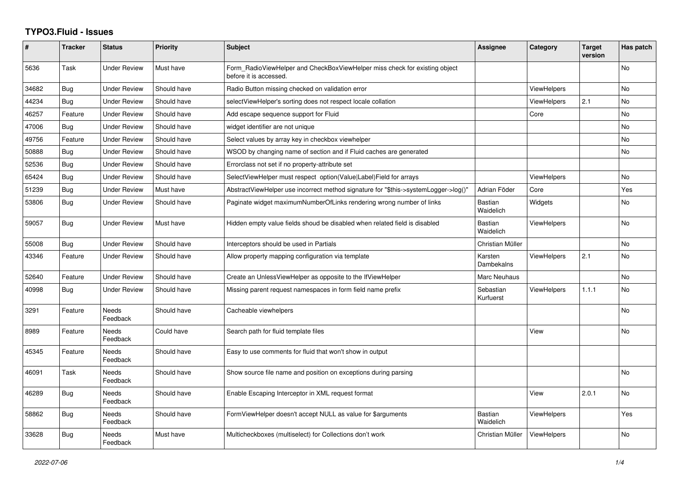## **TYPO3.Fluid - Issues**

| #     | <b>Tracker</b> | <b>Status</b>            | Priority    | <b>Subject</b>                                                                                       | Assignee                    | Category           | <b>Target</b><br>version | Has patch      |
|-------|----------------|--------------------------|-------------|------------------------------------------------------------------------------------------------------|-----------------------------|--------------------|--------------------------|----------------|
| 5636  | Task           | <b>Under Review</b>      | Must have   | Form RadioViewHelper and CheckBoxViewHelper miss check for existing object<br>before it is accessed. |                             |                    |                          | No             |
| 34682 | Bug            | <b>Under Review</b>      | Should have | Radio Button missing checked on validation error                                                     |                             | <b>ViewHelpers</b> |                          | <b>No</b>      |
| 44234 | <b>Bug</b>     | <b>Under Review</b>      | Should have | selectViewHelper's sorting does not respect locale collation                                         |                             | ViewHelpers        | 2.1                      | <b>No</b>      |
| 46257 | Feature        | <b>Under Review</b>      | Should have | Add escape sequence support for Fluid                                                                |                             | Core               |                          | <b>No</b>      |
| 47006 | Bug            | <b>Under Review</b>      | Should have | widget identifier are not unique                                                                     |                             |                    |                          | No             |
| 49756 | Feature        | <b>Under Review</b>      | Should have | Select values by array key in checkbox viewhelper                                                    |                             |                    |                          | <b>No</b>      |
| 50888 | Bug            | Under Review             | Should have | WSOD by changing name of section and if Fluid caches are generated                                   |                             |                    |                          | No             |
| 52536 | Bug            | <b>Under Review</b>      | Should have | Errorclass not set if no property-attribute set                                                      |                             |                    |                          |                |
| 65424 | <b>Bug</b>     | <b>Under Review</b>      | Should have | SelectViewHelper must respect option(Value Label)Field for arrays                                    |                             | <b>ViewHelpers</b> |                          | <b>No</b>      |
| 51239 | Bug            | Under Review             | Must have   | AbstractViewHelper use incorrect method signature for "\$this->systemLogger->log()"                  | Adrian Föder                | Core               |                          | Yes            |
| 53806 | Bug            | <b>Under Review</b>      | Should have | Paginate widget maximumNumberOfLinks rendering wrong number of links                                 | <b>Bastian</b><br>Waidelich | Widgets            |                          | No             |
| 59057 | Bug            | <b>Under Review</b>      | Must have   | Hidden empty value fields shoud be disabled when related field is disabled                           | Bastian<br>Waidelich        | ViewHelpers        |                          | <b>No</b>      |
| 55008 | Bug            | Under Review             | Should have | Interceptors should be used in Partials                                                              | Christian Müller            |                    |                          | No             |
| 43346 | Feature        | <b>Under Review</b>      | Should have | Allow property mapping configuration via template                                                    | Karsten<br>Dambekalns       | <b>ViewHelpers</b> | 2.1                      | No             |
| 52640 | Feature        | <b>Under Review</b>      | Should have | Create an UnlessViewHelper as opposite to the IfViewHelper                                           | Marc Neuhaus                |                    |                          | <b>No</b>      |
| 40998 | Bug            | Under Review             | Should have | Missing parent request namespaces in form field name prefix                                          | Sebastian<br>Kurfuerst      | <b>ViewHelpers</b> | 1.1.1                    | <b>No</b>      |
| 3291  | Feature        | <b>Needs</b><br>Feedback | Should have | Cacheable viewhelpers                                                                                |                             |                    |                          | <b>No</b>      |
| 8989  | Feature        | Needs<br>Feedback        | Could have  | Search path for fluid template files                                                                 |                             | View               |                          | No.            |
| 45345 | Feature        | <b>Needs</b><br>Feedback | Should have | Easy to use comments for fluid that won't show in output                                             |                             |                    |                          |                |
| 46091 | Task           | Needs<br>Feedback        | Should have | Show source file name and position on exceptions during parsing                                      |                             |                    |                          | N <sub>o</sub> |
| 46289 | <b>Bug</b>     | <b>Needs</b><br>Feedback | Should have | Enable Escaping Interceptor in XML request format                                                    |                             | View               | 2.0.1                    | No             |
| 58862 | Bug            | <b>Needs</b><br>Feedback | Should have | FormViewHelper doesn't accept NULL as value for \$arguments                                          | <b>Bastian</b><br>Waidelich | <b>ViewHelpers</b> |                          | Yes            |
| 33628 | Bug            | Needs<br>Feedback        | Must have   | Multicheckboxes (multiselect) for Collections don't work                                             | Christian Müller            | <b>ViewHelpers</b> |                          | <b>No</b>      |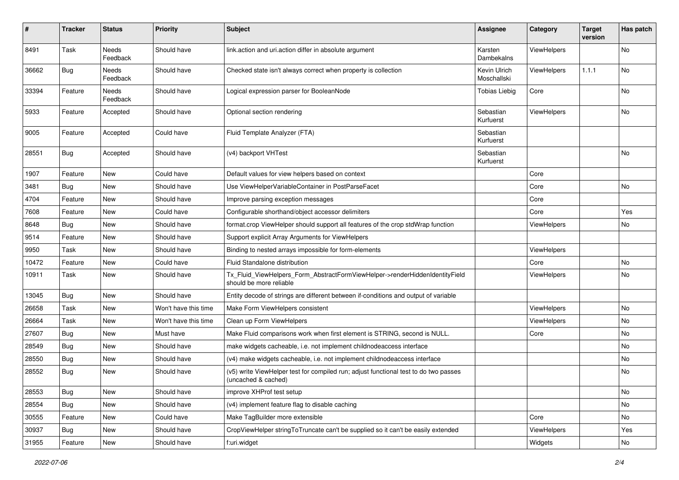| #     | <b>Tracker</b> | <b>Status</b>            | <b>Priority</b>      | <b>Subject</b>                                                                                              | <b>Assignee</b>             | Category           | <b>Target</b><br>version | Has patch |
|-------|----------------|--------------------------|----------------------|-------------------------------------------------------------------------------------------------------------|-----------------------------|--------------------|--------------------------|-----------|
| 8491  | Task           | <b>Needs</b><br>Feedback | Should have          | link.action and uri.action differ in absolute argument                                                      | Karsten<br>Dambekalns       | ViewHelpers        |                          | No        |
| 36662 | Bug            | Needs<br>Feedback        | Should have          | Checked state isn't always correct when property is collection                                              | Kevin Ulrich<br>Moschallski | ViewHelpers        | 1.1.1                    | No        |
| 33394 | Feature        | Needs<br>Feedback        | Should have          | Logical expression parser for BooleanNode                                                                   | <b>Tobias Liebig</b>        | Core               |                          | No        |
| 5933  | Feature        | Accepted                 | Should have          | Optional section rendering                                                                                  | Sebastian<br>Kurfuerst      | ViewHelpers        |                          | No        |
| 9005  | Feature        | Accepted                 | Could have           | Fluid Template Analyzer (FTA)                                                                               | Sebastian<br>Kurfuerst      |                    |                          |           |
| 28551 | Bug            | Accepted                 | Should have          | (v4) backport VHTest                                                                                        | Sebastian<br>Kurfuerst      |                    |                          | <b>No</b> |
| 1907  | Feature        | New                      | Could have           | Default values for view helpers based on context                                                            |                             | Core               |                          |           |
| 3481  | Bug            | New                      | Should have          | Use ViewHelperVariableContainer in PostParseFacet                                                           |                             | Core               |                          | No        |
| 4704  | Feature        | New                      | Should have          | Improve parsing exception messages                                                                          |                             | Core               |                          |           |
| 7608  | Feature        | New                      | Could have           | Configurable shorthand/object accessor delimiters                                                           |                             | Core               |                          | Yes       |
| 8648  | Bug            | New                      | Should have          | format.crop ViewHelper should support all features of the crop stdWrap function                             |                             | ViewHelpers        |                          | No        |
| 9514  | Feature        | New                      | Should have          | Support explicit Array Arguments for ViewHelpers                                                            |                             |                    |                          |           |
| 9950  | Task           | New                      | Should have          | Binding to nested arrays impossible for form-elements                                                       |                             | ViewHelpers        |                          |           |
| 10472 | Feature        | New                      | Could have           | Fluid Standalone distribution                                                                               |                             | Core               |                          | No        |
| 10911 | Task           | New                      | Should have          | Tx_Fluid_ViewHelpers_Form_AbstractFormViewHelper->renderHiddenIdentityField<br>should be more reliable      |                             | <b>ViewHelpers</b> |                          | No        |
| 13045 | Bug            | New                      | Should have          | Entity decode of strings are different between if-conditions and output of variable                         |                             |                    |                          |           |
| 26658 | Task           | New                      | Won't have this time | Make Form ViewHelpers consistent                                                                            |                             | ViewHelpers        |                          | No        |
| 26664 | Task           | <b>New</b>               | Won't have this time | Clean up Form ViewHelpers                                                                                   |                             | ViewHelpers        |                          | No        |
| 27607 | Bug            | New                      | Must have            | Make Fluid comparisons work when first element is STRING, second is NULL.                                   |                             | Core               |                          | No        |
| 28549 | Bug            | New                      | Should have          | make widgets cacheable, i.e. not implement childnodeaccess interface                                        |                             |                    |                          | No        |
| 28550 | Bug            | New                      | Should have          | (v4) make widgets cacheable, i.e. not implement childnodeaccess interface                                   |                             |                    |                          | No        |
| 28552 | Bug            | New                      | Should have          | (v5) write ViewHelper test for compiled run; adjust functional test to do two passes<br>(uncached & cached) |                             |                    |                          | No        |
| 28553 | <b>Bug</b>     | New                      | Should have          | improve XHProf test setup                                                                                   |                             |                    |                          | No        |
| 28554 | Bug            | New                      | Should have          | (v4) implement feature flag to disable caching                                                              |                             |                    |                          | No        |
| 30555 | Feature        | New                      | Could have           | Make TagBuilder more extensible                                                                             |                             | Core               |                          | No        |
| 30937 | Bug            | New                      | Should have          | CropViewHelper stringToTruncate can't be supplied so it can't be easily extended                            |                             | ViewHelpers        |                          | Yes       |
| 31955 | Feature        | New                      | Should have          | f:uri.widget                                                                                                |                             | Widgets            |                          | No        |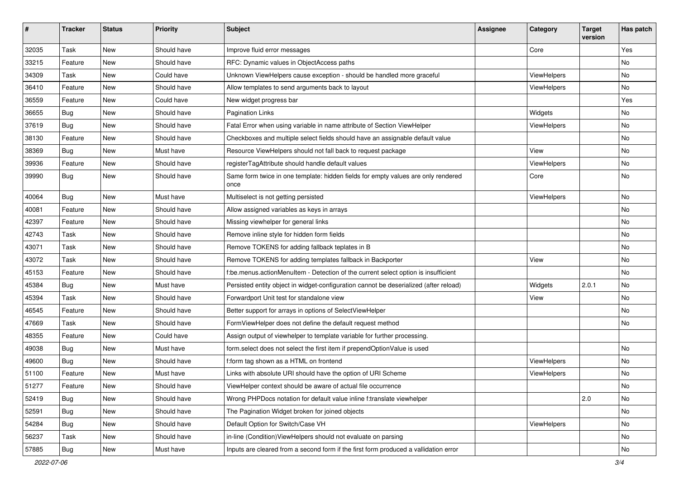| $\pmb{\#}$ | <b>Tracker</b> | <b>Status</b> | <b>Priority</b> | Subject                                                                                   | Assignee | Category    | <b>Target</b><br>version | Has patch |
|------------|----------------|---------------|-----------------|-------------------------------------------------------------------------------------------|----------|-------------|--------------------------|-----------|
| 32035      | Task           | <b>New</b>    | Should have     | Improve fluid error messages                                                              |          | Core        |                          | Yes       |
| 33215      | Feature        | New           | Should have     | RFC: Dynamic values in ObjectAccess paths                                                 |          |             |                          | No        |
| 34309      | Task           | <b>New</b>    | Could have      | Unknown ViewHelpers cause exception - should be handled more graceful                     |          | ViewHelpers |                          | No        |
| 36410      | Feature        | New           | Should have     | Allow templates to send arguments back to layout                                          |          | ViewHelpers |                          | No        |
| 36559      | Feature        | New           | Could have      | New widget progress bar                                                                   |          |             |                          | Yes       |
| 36655      | Bug            | <b>New</b>    | Should have     | <b>Pagination Links</b>                                                                   |          | Widgets     |                          | No        |
| 37619      | <b>Bug</b>     | New           | Should have     | Fatal Error when using variable in name attribute of Section ViewHelper                   |          | ViewHelpers |                          | No        |
| 38130      | Feature        | New           | Should have     | Checkboxes and multiple select fields should have an assignable default value             |          |             |                          | No        |
| 38369      | Bug            | <b>New</b>    | Must have       | Resource ViewHelpers should not fall back to request package                              |          | View        |                          | No        |
| 39936      | Feature        | New           | Should have     | registerTagAttribute should handle default values                                         |          | ViewHelpers |                          | No        |
| 39990      | Bug            | New           | Should have     | Same form twice in one template: hidden fields for empty values are only rendered<br>once |          | Core        |                          | No        |
| 40064      | Bug            | <b>New</b>    | Must have       | Multiselect is not getting persisted                                                      |          | ViewHelpers |                          | No        |
| 40081      | Feature        | <b>New</b>    | Should have     | Allow assigned variables as keys in arrays                                                |          |             |                          | No        |
| 42397      | Feature        | New           | Should have     | Missing viewhelper for general links                                                      |          |             |                          | No        |
| 42743      | Task           | New           | Should have     | Remove inline style for hidden form fields                                                |          |             |                          | No        |
| 43071      | Task           | <b>New</b>    | Should have     | Remove TOKENS for adding fallback teplates in B                                           |          |             |                          | No        |
| 43072      | Task           | <b>New</b>    | Should have     | Remove TOKENS for adding templates fallback in Backporter                                 |          | View        |                          | No        |
| 45153      | Feature        | <b>New</b>    | Should have     | f:be.menus.actionMenuItem - Detection of the current select option is insufficient        |          |             |                          | <b>No</b> |
| 45384      | <b>Bug</b>     | New           | Must have       | Persisted entity object in widget-configuration cannot be deserialized (after reload)     |          | Widgets     | 2.0.1                    | No        |
| 45394      | Task           | New           | Should have     | Forwardport Unit test for standalone view                                                 |          | View        |                          | No        |
| 46545      | Feature        | <b>New</b>    | Should have     | Better support for arrays in options of SelectViewHelper                                  |          |             |                          | No        |
| 47669      | Task           | New           | Should have     | FormViewHelper does not define the default request method                                 |          |             |                          | No        |
| 48355      | Feature        | New           | Could have      | Assign output of viewhelper to template variable for further processing.                  |          |             |                          |           |
| 49038      | Bug            | New           | Must have       | form.select does not select the first item if prependOptionValue is used                  |          |             |                          | No        |
| 49600      | Bug            | New           | Should have     | f:form tag shown as a HTML on frontend                                                    |          | ViewHelpers |                          | No        |
| 51100      | Feature        | <b>New</b>    | Must have       | Links with absolute URI should have the option of URI Scheme                              |          | ViewHelpers |                          | No        |
| 51277      | Feature        | New           | Should have     | ViewHelper context should be aware of actual file occurrence                              |          |             |                          | No        |
| 52419      | Bug            | New           | Should have     | Wrong PHPDocs notation for default value inline f:translate viewhelper                    |          |             | 2.0                      | No        |
| 52591      | Bug            | New           | Should have     | The Pagination Widget broken for joined objects                                           |          |             |                          | No        |
| 54284      | Bug            | New           | Should have     | Default Option for Switch/Case VH                                                         |          | ViewHelpers |                          | No        |
| 56237      | Task           | New           | Should have     | in-line (Condition) View Helpers should not evaluate on parsing                           |          |             |                          | No        |
| 57885      | <b>Bug</b>     | New           | Must have       | Inputs are cleared from a second form if the first form produced a vallidation error      |          |             |                          | No        |